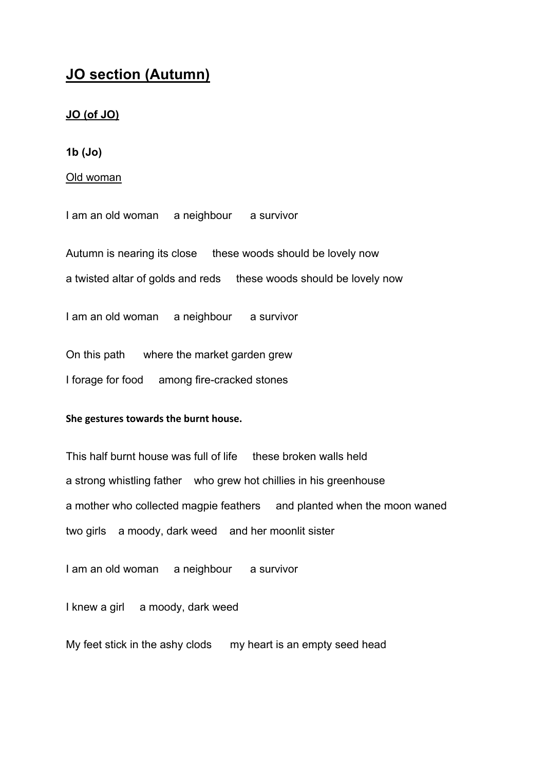# **JO section (Autumn)**

#### **JO (of JO)**

**1b (Jo)**

Old woman

I am an old woman a neighbour a survivor

Autumn is nearing its close these woods should be lovely now

a twisted altar of golds and reds these woods should be lovely now

I am an old woman a neighbour a survivor

On this path where the market garden grew

I forage for food among fire-cracked stones

#### **She
gestures
towards
the
burnt
house.**

This half burnt house was full of life these broken walls held a strong whistling father who grew hot chillies in his greenhouse a mother who collected magpie feathers and planted when the moon waned two girls a moody, dark weed and her moonlit sister

I am an old woman a neighbour a survivor

I knew a girl a moody, dark weed

My feet stick in the ashy clods my heart is an empty seed head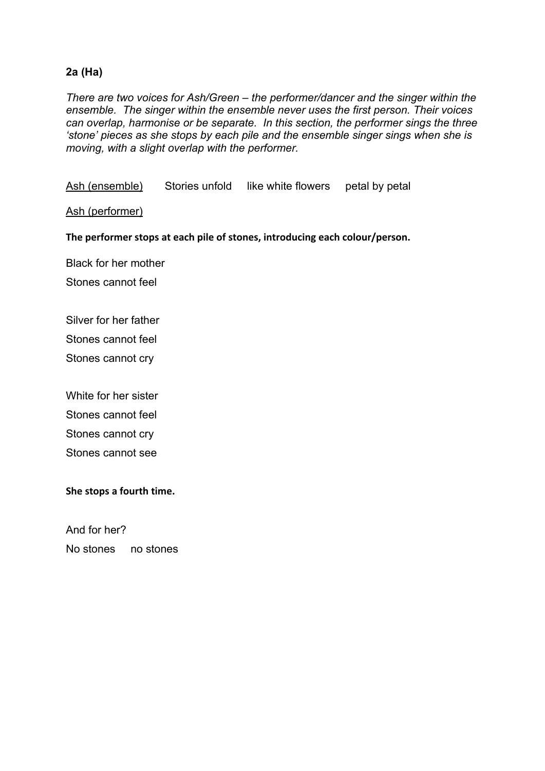# **2a (Ha)**

*There are two voices for Ash/Green – the performer/dancer and the singer within the ensemble. The singer within the ensemble never uses the first person. Their voices can overlap, harmonise or be separate. In this section, the performer sings the three 'stone' pieces as she stops by each pile and the ensemble singer sings when she is moving, with a slight overlap with the performer.*

Ash (ensemble) Stories unfold like white flowers petal by petal

Ash (performer)

The performer stops at each pile of stones, introducing each colour/person.

Black for her mother

Stones cannot feel

Silver for her father

Stones cannot feel

Stones cannot cry

White for her sister Stones cannot feel Stones cannot cry Stones cannot see

**She
stops
a
fourth
time.**

And for her? No stones no stones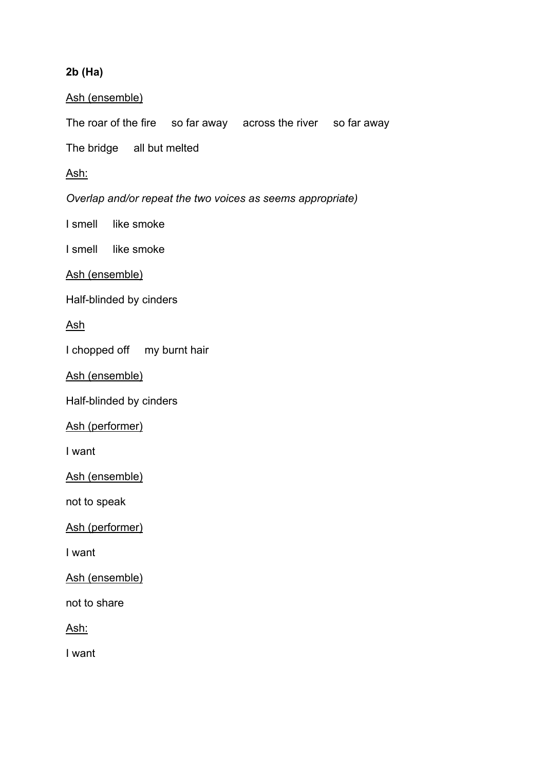# **2b (Ha)**

#### Ash (ensemble)

The roar of the fire so far away across the river so far away

The bridge all but melted

#### Ash:

*Overlap and/or repeat the two voices as seems appropriate)*

I smell like smoke

I smell like smoke

Ash (ensemble)

Half-blinded by cinders

Ash

I chopped off my burnt hair

Ash (ensemble)

Half-blinded by cinders

Ash (performer)

I want

Ash (ensemble)

not to speak

Ash (performer)

I want

Ash (ensemble)

not to share

Ash:

I want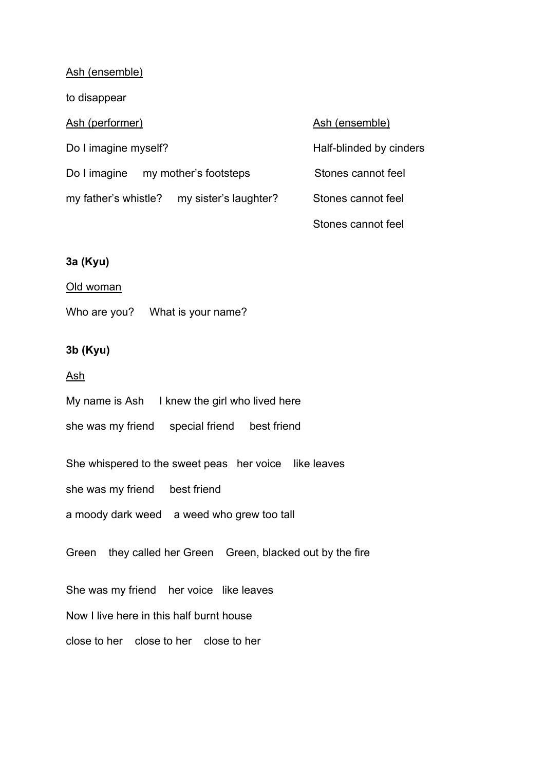#### Ash (ensemble)

to disappear

#### Ash (performer) Ash (ensemble)

| Do I imagine myself? |                                            |  |
|----------------------|--------------------------------------------|--|
|                      | Do I imagine my mother's footsteps         |  |
|                      | my father's whistle? my sister's laughter? |  |

Half-blinded by cinders

Stones cannot feel

Stones cannot feel

Stones cannot feel

#### **3a (Kyu)**

#### Old woman

Who are you? What is your name?

## **3b (Kyu)**

#### Ash

My name is Ash I knew the girl who lived here

she was my friend special friend best friend

She whispered to the sweet peas her voice like leaves

she was my friend best friend

a moody dark weed a weed who grew too tall

Green they called her Green Green, blacked out by the fire

She was my friend her voice like leaves

Now I live here in this half burnt house

close to her close to her close to her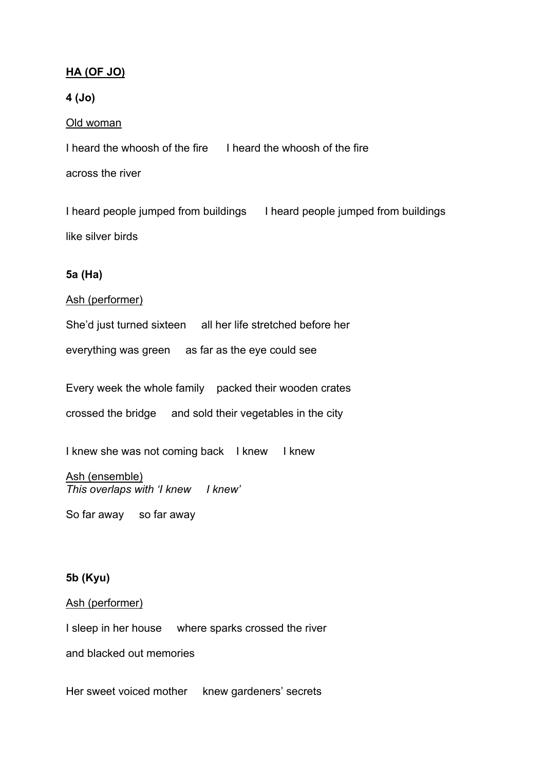# **HA (OF JO)**

## **4 (Jo)**

#### Old woman

I heard the whoosh of the fire I heard the whoosh of the fire

across the river

I heard people jumped from buildings I heard people jumped from buildings like silver birds

## **5a (Ha)**

#### Ash (performer)

She'd just turned sixteen all her life stretched before her everything was green as far as the eye could see

Every week the whole family packed their wooden crates crossed the bridge and sold their vegetables in the city

I knew she was not coming back I knew I knew

## Ash (ensemble) *This overlaps with 'I knew I knew'*

So far away so far away

## **5b (Kyu)**

#### Ash (performer)

I sleep in her house where sparks crossed the river

and blacked out memories

Her sweet voiced mother knew gardeners' secrets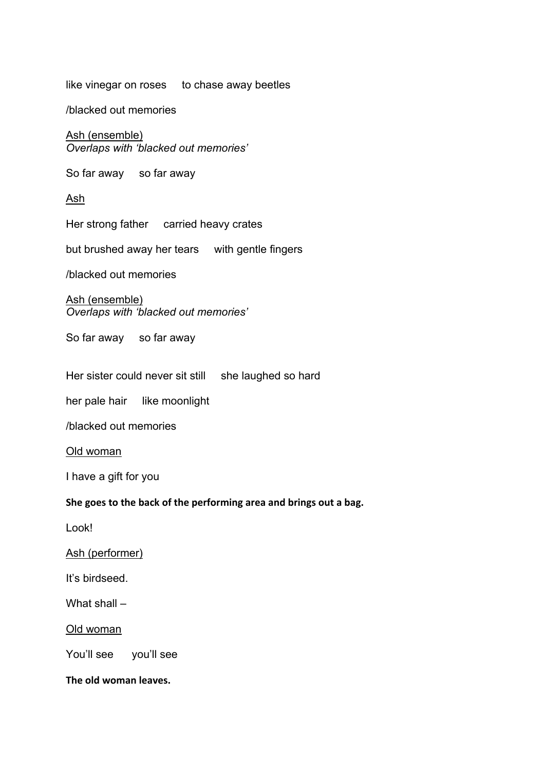like vinegar on roses to chase away beetles

/blacked out memories

Ash (ensemble) *Overlaps with 'blacked out memories'*

So far away so far away

Ash

Her strong father carried heavy crates

but brushed away her tears with gentle fingers

/blacked out memories

#### Ash (ensemble) *Overlaps with 'blacked out memories'*

So far away so far away

Her sister could never sit still she laughed so hard

her pale hair like moonlight

/blacked out memories

Old woman

I have a gift for you

#### She goes to the back of the performing area and brings out a bag.

Look!

#### Ash (performer)

It's birdseed.

What shall –

Old woman

You'll see you'll see

**The
old
woman
leaves.**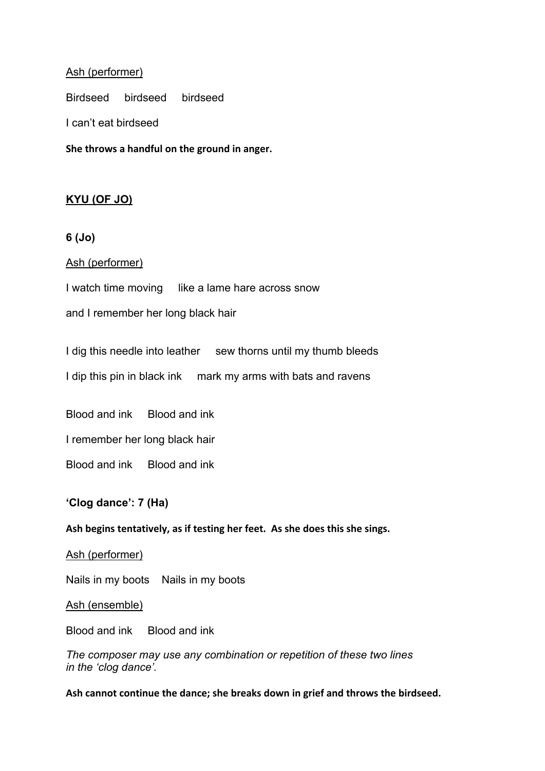#### Ash (performer)

Birdseed birdseed birdseed

I can't eat birdseed

**She
throws
a
handful
on
the
ground
in
anger.**

## **KYU (OF JO)**

#### **6 (Jo)**

#### Ash (performer)

I watch time moving like a lame hare across snow

and I remember her long black hair

I dig this needle into leather sew thorns until my thumb bleeds

I dip this pin in black ink mark my arms with bats and ravens

Blood and ink Blood and ink

I remember her long black hair

Blood and ink Blood and ink

#### **'Clog dance': 7 (Ha)**

Ash begins tentatively, as if testing her feet. As she does this she sings.

#### Ash (performer)

Nails in my boots Nails in my boots

#### Ash (ensemble)

Blood and ink Blood and ink

*The composer may use any combination or repetition of these two lines in the 'clog dance'.*

Ash cannot continue the dance; she breaks down in grief and throws the birdseed.